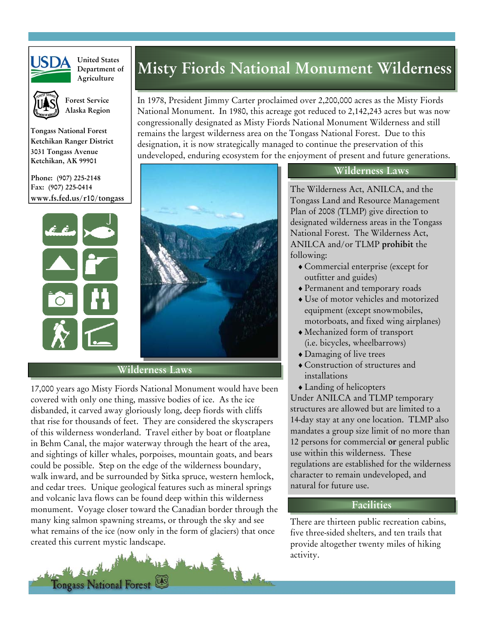

**United States Department of Agriculture**



 **Forest Service Alaska Region** 

**Tongass National Forest Ketchikan Ranger District 3031 Tongass Avenue Ketchikan, AK 99901** 

**Phone: (907) 225-2148 Fax: (907) 225-0414 www.fs.fed.us/r10/tongass** 



## **Wilderness Laws**

17,000 years ago Misty Fiords National Monument would have been covered with only one thing, massive bodies of ice. As the ice disbanded, it carved away gloriously long, deep fiords with cliffs that rise for thousands of feet. They are considered the skyscrapers of this wilderness wonderland. Travel either by boat or floatplane in Behm Canal, the major waterway through the heart of the area, and sightings of killer whales, porpoises, mountain goats, and bears could be possible. Step on the edge of the wilderness boundary, walk inward, and be surrounded by Sitka spruce, western hemlock, and cedar trees. Unique geological features such as mineral springs and volcanic lava flows can be found deep within this wilderness monument. Voyage closer toward the Canadian border through the many king salmon spawning streams, or through the sky and see what remains of the ice (now only in the form of glaciers) that once created this current mystic landscape.

Tongass National Forest

# **Misty Fiords National Monument Wilderness**

In 1978, President Jimmy Carter proclaimed over 2,200,000 acres as the Misty Fiords National Monument. In 1980, this acreage got reduced to 2,142,243 acres but was now congressionally designated as Misty Fiords National Monument Wilderness and still remains the largest wilderness area on the Tongass National Forest. Due to this designation, it is now strategically managed to continue the preservation of this undeveloped, enduring ecosystem for the enjoyment of present and future generations.

### **Wilderness Laws**

The Wilderness Act, ANILCA, and the Tongass Land and Resource Management Plan of 2008 (TLMP) give direction to designated wilderness areas in the Tongass National Forest. The Wilderness Act, ANILCA and/or TLMP **prohibit** the following:

- ♦ Commercial enterprise (except for outfitter and guides)
- ♦ Permanent and temporary roads
- ♦ Use of motor vehicles and motorized equipment (except snowmobiles, motorboats, and fixed wing airplanes)
- ♦ Mechanized form of transport (i.e. bicycles, wheelbarrows)
- ♦ Damaging of live trees
- ♦ Construction of structures and installations
- ♦ Landing of helicopters

Under ANILCA and TLMP temporary structures are allowed but are limited to a 14-day stay at any one location. TLMP also mandates a group size limit of no more than 12 persons for commercial **or** general public use within this wilderness. These regulations are established for the wilderness character to remain undeveloped, and natural for future use.

## **Facilities**

There are thirteen public recreation cabins, five three-sided shelters, and ten trails that provide altogether twenty miles of hiking activity.